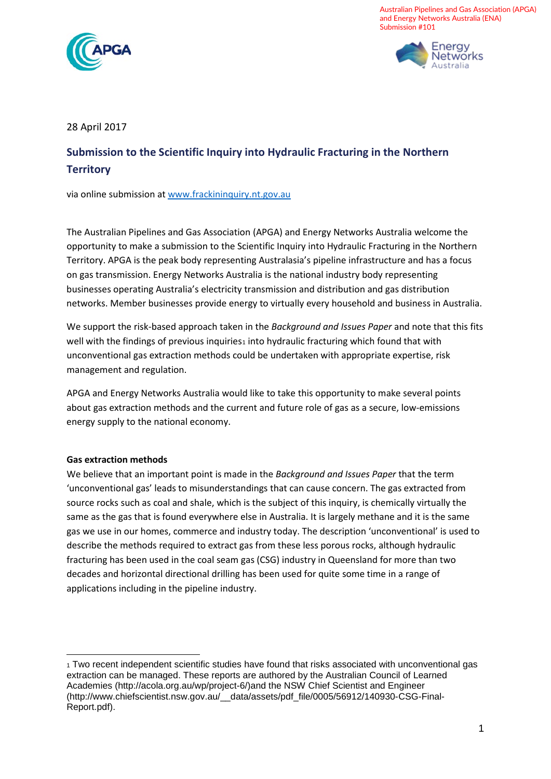

Australian Pipelines and Gas Association (APGA) and Energy Networks Australia (ENA) Submission #101



# 28 April 2017

# **Submission to the Scientific Inquiry into Hydraulic Fracturing in the Northern Territory**

via online submission at www.frackininquiry.nt.gov.au

The Australian Pipelines and Gas Association (APGA) and Energy Networks Australia welcome the opportunity to make a submission to the Scientific Inquiry into Hydraulic Fracturing in the Northern Territory. APGA is the peak body representing Australasia's pipeline infrastructure and has a focus on gas transmission. Energy Networks Australia is the national industry body representing businesses operating Australia's electricity transmission and distribution and gas distribution networks. Member businesses provide energy to virtually every household and business in Australia.

We support the risk-based approach taken in the *Background and Issues Paper* and note that this fits well with the findings of previous inquiries1 into hydraulic fracturing which found that with unconventional gas extraction methods could be undertaken with appropriate expertise, risk management and regulation.

APGA and Energy Networks Australia would like to take this opportunity to make several points about gas extraction methods and the current and future role of gas as a secure, low-emissions energy supply to the national economy.

#### **Gas extraction methods**

We believe that an important point is made in the *Background and Issues Paper* that the term 'unconventional gas' leads to misunderstandings that can cause concern. The gas extracted from source rocks such as coal and shale, which is the subject of this inquiry, is chemically virtually the same as the gas that is found everywhere else in Australia. It is largely methane and it is the same gas we use in our homes, commerce and industry today. The description 'unconventional' is used to describe the methods required to extract gas from these less porous rocks, although hydraulic fracturing has been used in the coal seam gas (CSG) industry in Queensland for more than two decades and horizontal directional drilling has been used for quite some time in a range of applications including in the pipeline industry.

<sup>1</sup> Two recent independent scientific studies have found that risks associated with unconventional gas extraction can be managed. These reports are authored by the Australian Council of Learned Academies (http://acola.org.au/wp/project-6/)and the NSW Chief Scientist and Engineer (http://www.chiefscientist.nsw.gov.au/\_\_data/assets/pdf\_file/0005/56912/140930-CSG-Final-Report.pdf).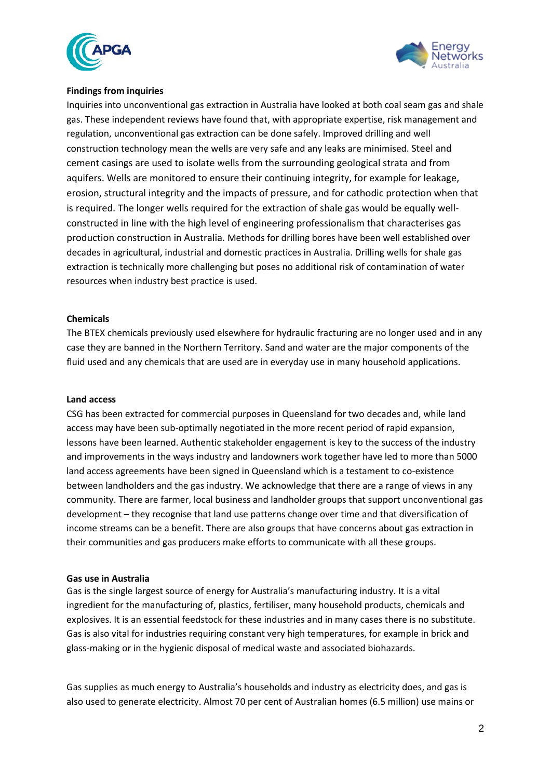



## **Findings from inquiries**

Inquiries into unconventional gas extraction in Australia have looked at both coal seam gas and shale gas. These independent reviews have found that, with appropriate expertise, risk management and regulation, unconventional gas extraction can be done safely. Improved drilling and well construction technology mean the wells are very safe and any leaks are minimised. Steel and cement casings are used to isolate wells from the surrounding geological strata and from aquifers. Wells are monitored to ensure their continuing integrity, for example for leakage, erosion, structural integrity and the impacts of pressure, and for cathodic protection when that is required. The longer wells required for the extraction of shale gas would be equally wellconstructed in line with the high level of engineering professionalism that characterises gas production construction in Australia. Methods for drilling bores have been well established over decades in agricultural, industrial and domestic practices in Australia. Drilling wells for shale gas extraction is technically more challenging but poses no additional risk of contamination of water resources when industry best practice is used.

#### **Chemicals**

The BTEX chemicals previously used elsewhere for hydraulic fracturing are no longer used and in any case they are banned in the Northern Territory. Sand and water are the major components of the fluid used and any chemicals that are used are in everyday use in many household applications.

#### **Land access**

CSG has been extracted for commercial purposes in Queensland for two decades and, while land access may have been sub-optimally negotiated in the more recent period of rapid expansion, lessons have been learned. Authentic stakeholder engagement is key to the success of the industry and improvements in the ways industry and landowners work together have led to more than 5000 land access agreements have been signed in Queensland which is a testament to co-existence between landholders and the gas industry. We acknowledge that there are a range of views in any community. There are farmer, local business and landholder groups that support unconventional gas development – they recognise that land use patterns change over time and that diversification of income streams can be a benefit. There are also groups that have concerns about gas extraction in their communities and gas producers make efforts to communicate with all these groups.

#### **Gas use in Australia**

Gas is the single largest source of energy for Australia's manufacturing industry. It is a vital ingredient for the manufacturing of, plastics, fertiliser, many household products, chemicals and explosives. It is an essential feedstock for these industries and in many cases there is no substitute. Gas is also vital for industries requiring constant very high temperatures, for example in brick and glass-making or in the hygienic disposal of medical waste and associated biohazards.

Gas supplies as much energy to Australia's households and industry as electricity does, and gas is also used to generate electricity. Almost 70 per cent of Australian homes (6.5 million) use mains or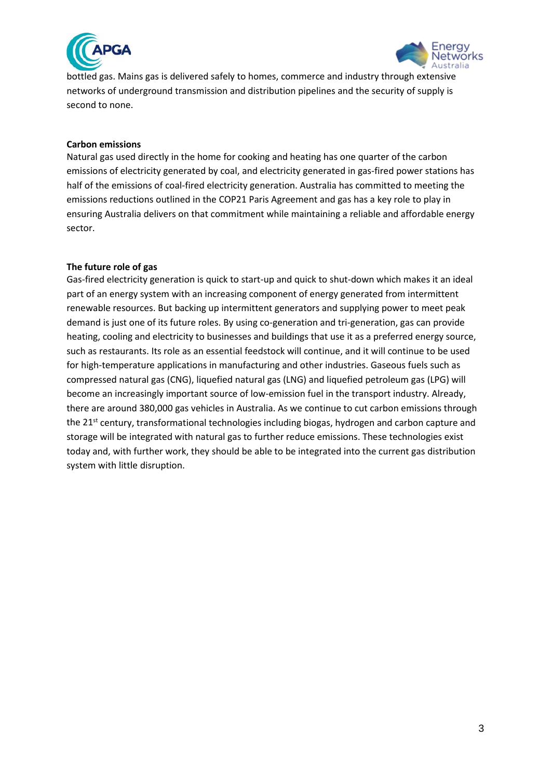



bottled gas. Mains gas is delivered safely to homes, commerce and industry through extensive networks of underground transmission and distribution pipelines and the security of supply is second to none.

# **Carbon emissions**

Natural gas used directly in the home for cooking and heating has one quarter of the carbon emissions of electricity generated by coal, and electricity generated in gas-fired power stations has half of the emissions of coal-fired electricity generation. Australia has committed to meeting the emissions reductions outlined in the COP21 Paris Agreement and gas has a key role to play in ensuring Australia delivers on that commitment while maintaining a reliable and affordable energy sector.

## **The future role of gas**

Gas-fired electricity generation is quick to start-up and quick to shut-down which makes it an ideal part of an energy system with an increasing component of energy generated from intermittent renewable resources. But backing up intermittent generators and supplying power to meet peak demand is just one of its future roles. By using co-generation and tri-generation, gas can provide heating, cooling and electricity to businesses and buildings that use it as a preferred energy source, such as restaurants. Its role as an essential feedstock will continue, and it will continue to be used for high-temperature applications in manufacturing and other industries. Gaseous fuels such as compressed natural gas (CNG), liquefied natural gas (LNG) and liquefied petroleum gas (LPG) will become an increasingly important source of low-emission fuel in the transport industry. Already, there are around 380,000 gas vehicles in Australia. As we continue to cut carbon emissions through the 21<sup>st</sup> century, transformational technologies including biogas, hydrogen and carbon capture and storage will be integrated with natural gas to further reduce emissions. These technologies exist today and, with further work, they should be able to be integrated into the current gas distribution system with little disruption.